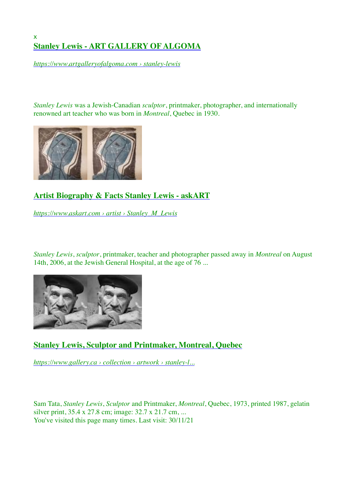## [x](https://www.artgalleryofalgoma.com/stanley-lewis.html) **[Stanley Lewis - ART GALLERY OF ALGOMA](https://www.artgalleryofalgoma.com/stanley-lewis.html)**

*[https://www.artgalleryofalgoma.com › stanley-lewis](https://www.artgalleryofalgoma.com/stanley-lewis.html)*

*Stanley Lewis* was a Jewish-Canadian *sculptor*, printmaker, photographer, and internationally renowned art teacher who was born in *Montreal*, Quebec in 1930.



## **[Artist Biography & Facts Stanley Lewis - askART](https://www.askart.com/artist/Stanley_M_Lewis/85112/Stanley_M_Lewis.aspx)**

*[https://www.askart.com › artist › Stanley\\_M\\_Lewis](https://www.askart.com/artist/Stanley_M_Lewis/85112/Stanley_M_Lewis.aspx)*

*Stanley Lewis*, *sculptor*, printmaker, teacher and photographer passed away in *Montreal* on August 14th, 2006, at the Jewish General Hospital, at the age of 76 ...



## **[Stanley Lewis, Sculptor and Printmaker, Montreal, Quebec](https://www.gallery.ca/collection/artwork/stanley-lewis-sculptor-and-printmaker-montreal-quebec)**

*[https://www.gallery.ca › collection › artwork › stanley-l...](https://www.gallery.ca/collection/artwork/stanley-lewis-sculptor-and-printmaker-montreal-quebec)*

Sam Tata, *Stanley Lewis*, *Sculptor* and Printmaker, *Montreal*, Quebec, 1973, printed 1987, gelatin silver print, 35.4 x 27.8 cm; image: 32.7 x 21.7 cm, ... You've visited this page many times. Last visit: 30/11/21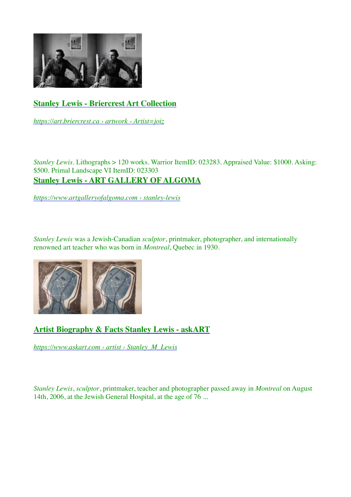

# **[Stanley Lewis - Briercrest Art Collection](https://art.briercrest.ca/artwork.php?Artist=joiz)**

*[https://art.briercrest.ca › artwork › Artist=joiz](https://art.briercrest.ca/artwork.php?Artist=joiz)*

*Stanley Lewis*. Lithographs > 120 works. Warrior ItemID: 023283. Appraised Value: \$1000. Asking: \$500. Primal Landscape VI ItemID: 02330[3](https://www.artgalleryofalgoma.com/stanley-lewis.html) **[Stanley Lewis - ART GALLERY OF ALGOMA](https://www.artgalleryofalgoma.com/stanley-lewis.html)**

*[https://www.artgalleryofalgoma.com › stanley-lewis](https://www.artgalleryofalgoma.com/stanley-lewis.html)*

*Stanley Lewis* was a Jewish-Canadian *sculptor*, printmaker, photographer, and internationally renowned art teacher who was born in *Montreal*, Quebec in 1930.



# **[Artist Biography & Facts Stanley Lewis - askART](https://www.askart.com/artist/Stanley_M_Lewis/85112/Stanley_M_Lewis.aspx)**

*[https://www.askart.com › artist › Stanley\\_M\\_Lewis](https://www.askart.com/artist/Stanley_M_Lewis/85112/Stanley_M_Lewis.aspx)*

*Stanley Lewis*, *sculptor*, printmaker, teacher and photographer passed away in *Montreal* on August 14th, 2006, at the Jewish General Hospital, at the age of 76 ...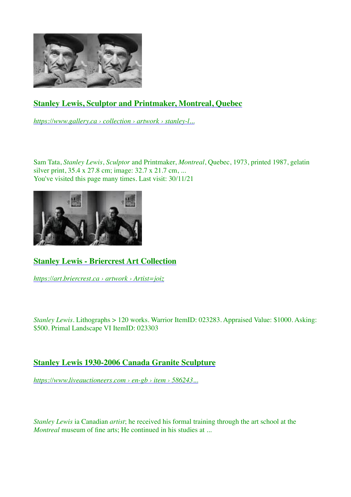

# **[Stanley Lewis, Sculptor and Printmaker, Montreal, Quebec](https://www.gallery.ca/collection/artwork/stanley-lewis-sculptor-and-printmaker-montreal-quebec)**

*[https://www.gallery.ca › collection › artwork › stanley-l...](https://www.gallery.ca/collection/artwork/stanley-lewis-sculptor-and-printmaker-montreal-quebec)*

Sam Tata, *Stanley Lewis*, *Sculptor* and Printmaker, *Montreal*, Quebec, 1973, printed 1987, gelatin silver print, 35.4 x 27.8 cm; image: 32.7 x 21.7 cm, ... You've visited this page many times. Last visit:  $30/11/21$ 



# **[Stanley Lewis - Briercrest Art Collection](https://art.briercrest.ca/artwork.php?Artist=joiz)**

*[https://art.briercrest.ca › artwork › Artist=joiz](https://art.briercrest.ca/artwork.php?Artist=joiz)*

*Stanley Lewis*. Lithographs > 120 works. Warrior ItemID: 023283. Appraised Value: \$1000. Asking: \$500. Primal Landscape VI ItemID: 023303

## **[Stanley Lewis 1930-2006 Canada Granite Sculpture](https://www.liveauctioneers.com/en-gb/item/58624333_stanley-lewis-1930-2006-canada-granite-sculpture)**

*[https://www.liveauctioneers.com › en-gb › item › 586243...](https://www.liveauctioneers.com/en-gb/item/58624333_stanley-lewis-1930-2006-canada-granite-sculpture)*

*Stanley Lewis* ia Canadian *artist*; he received his formal training through the art school at the *Montreal* museum of fine arts: He continued in his studies at ...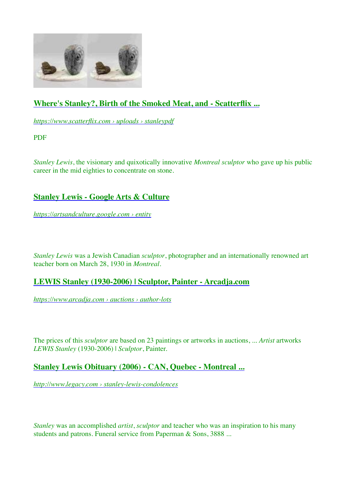

# **[Where's Stanley?, Birth of the Smoked Meat, and - Scatterflix ...](https://www.scatterflix.com/uploads/1/4/2/4/14248363/stanleypdf.pdf)**

*[https://www.scatterflix.com › uploads › stanleypdf](https://www.scatterflix.com/uploads/1/4/2/4/14248363/stanleypdf.pdf)*

PDF

*Stanley Lewis*, the visionary and quixotically innovative *Montreal sculptor* who gave up his public career in the mid eighties to concentrate on stone.

## **[Stanley Lewis - Google Arts & Culture](https://artsandculture.google.com/entity/m0qs9zfw?hl=de)**

*[https://artsandculture.google.com › entity](https://artsandculture.google.com/entity/m0qs9zfw?hl=de)*

*Stanley Lewis* was a Jewish Canadian *sculptor*, photographer and an internationally renowned art teacher born on March 28, 1930 in *Montreal*.

### **[LEWIS Stanley \(1930-2006\) | Sculptor, Painter - Arcadja.com](https://www.arcadja.com/auctions/en/author-lots/bssrdb9c/)**

*[https://www.arcadja.com › auctions › author-lots](https://www.arcadja.com/auctions/en/author-lots/bssrdb9c/)*

The prices of this *sculptor* are based on 23 paintings or artworks in auctions, ... *Artist* artworks *LEWIS Stanley* (1930-2006) | *Sculptor*, Painter.

### **[Stanley Lewis Obituary \(2006\) - CAN, Quebec - Montreal ...](http://www.legacy.com/guestbooks/can-montreal/stanley-lewis-condolences/18893012)**

*[http://www.legacy.com › stanley-lewis-condolences](http://www.legacy.com/guestbooks/can-montreal/stanley-lewis-condolences/18893012)*

*Stanley* was an accomplished *artist*, *sculptor* and teacher who was an inspiration to his many students and patrons. Funeral service from Paperman & Sons, 3888 ...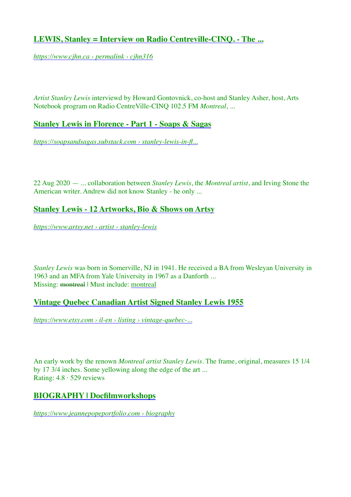## **[LEWIS, Stanley = Interview on Radio Centreville-CINQ. - The ...](https://www.cjhn.ca/en/permalink/cjhn316)**

*[https://www.cjhn.ca › permalink › cjhn316](https://www.cjhn.ca/en/permalink/cjhn316)*

*Artist Stanley Lewis* interviewd by Howard Gontovnick, co-host and Stanley Asher, host, Arts Notebook program on Radio CentreVille-CINQ 102.5 FM *Montreal*, ...

### **[Stanley Lewis in Florence - Part 1 - Soaps & Sagas](https://soapsandsagas.substack.com/p/stanley-lewis-in-florence-part-1)**

*[https://soapsandsagas.substack.com › stanley-lewis-in-fl...](https://soapsandsagas.substack.com/p/stanley-lewis-in-florence-part-1)*

22 Aug 2020 — ... collaboration between *Stanley Lewis*, the *Montreal artist*, and Irving Stone the American writer. Andrew did not know Stanley - he only ...

## **[Stanley Lewis - 12 Artworks, Bio & Shows on Artsy](https://www.artsy.net/artist/stanley-lewis)**

*[https://www.artsy.net › artist › stanley-lewis](https://www.artsy.net/artist/stanley-lewis)*

*Stanley Lewis* was born in Somerville, NJ in 1941. He received a BA from Wesleyan University in 1963 and an MFA from Yale University in 1967 as a Danforth ... Missing: [montreal](https://www.google.com/search?client=firefox-b-d&sa=N&biw=1440&bih=728&sxsrf=APq-WBtFgHhi73bCc4JBu8RzHzcNYzSj2w:1646650767927&q=stanley+lewis+%22montreal%22+sculptor&ved=2ahUKEwjwid2Q7LP2AhVUolwKHfPaBZw4ChDm3gJ6BAgeEAE) | Must include: montreal

### **[Vintage Quebec Canadian Artist Signed Stanley Lewis 1955](https://www.etsy.com/il-en/listing/611177438/vintage-quebec-canadian-artist-signed)**

*[https://www.etsy.com › il-en › listing › vintage-quebec-...](https://www.etsy.com/il-en/listing/611177438/vintage-quebec-canadian-artist-signed)*

An early work by the renown *Montreal artist Stanley Lewis*. The frame, original, measures 15 1/4 by 17 3/4 inches. Some yellowing along the edge of the art ... Rating:  $4.8 \cdot 529$  reviews

### **[BIOGRAPHY | Docfilmworkshops](https://www.jeannepopeportfolio.com/biography)**

*[https://www.jeannepopeportfolio.com › biography](https://www.jeannepopeportfolio.com/biography)*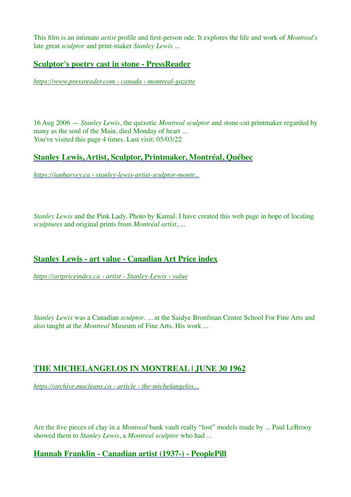This film is an intimate *artist* profile and first-person ode. It explores the life and work of *Montreal's* late great *sculptor* and print-maker *Stanley Lewis* ...

### **[Sculptor's poetry cast in stone - PressReader](https://www.pressreader.com/canada/montreal-gazette/20060816/281681135350330)**

*[https://www.pressreader.com › canada › montreal-gazette](https://www.pressreader.com/canada/montreal-gazette/20060816/281681135350330)*

16 Aug 2006 — *Stanley Lewis*, the quixotic *Montreal sculptor* and stone-cut printmaker regarded by many as the soul of the Main, died Monday of heart ... You've visited this page 4 times. Last visit: 05/03/22

### **[Stanley Lewis, Artist, Sculptor, Printmaker, Montréal, Québec](https://ianharvey.ca/stanley-lewis-artist-sculptor-montreal-quebec.html)**

*[https://ianharvey.ca › stanley-lewis-artist-sculptor-montr...](https://ianharvey.ca/stanley-lewis-artist-sculptor-montreal-quebec.html)*

*Stanley Lewis* and the Pink Lady. Photo by Kamal. I have created this web page in hope of locating *sculptures* and original prints from *Montréal artist*, ...

### **[Stanley Lewis - art value - Canadian Art Price index](https://artpriceindex.ca/artist/Stanley-Lewis/value/3587145)**

*[https://artpriceindex.ca › artist › Stanley-Lewis › value](https://artpriceindex.ca/artist/Stanley-Lewis/value/3587145)*

*Stanley Lewis* was a Canadian *sculptor*. ... at the Saidye Bronfman Centre School For Fine Arts and also taught at the *Montreal* Museum of Fine Arts. His work ...

### **[THE MICHELANGELOS IN MONTREAL | JUNE 30 1962](https://archive.macleans.ca/article/1962/6/30/the-michelangelos-in-montreal)**

*[https://archive.macleans.ca › article › the-michelangelos...](https://archive.macleans.ca/article/1962/6/30/the-michelangelos-in-montreal)*

Are the five pieces of clay in a *Montreal* bank vault really "lost" models made by ... Paul LeBrooy showed them to *Stanley Lewis*, a *Montreal sculptor* who had ...

### **[Hannah Franklin - Canadian artist \(1937-\) - PeoplePill](https://peoplepill.com/people/hannah-franklin)**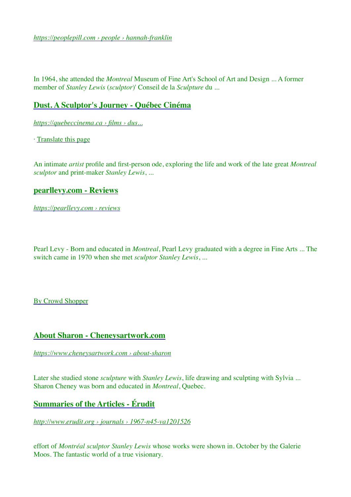*[https://peoplepill.com › people › hannah-franklin](https://peoplepill.com/people/hannah-franklin)*

In 1964, she attended the *Montreal* Museum of Fine Art's School of Art and Design ... A former member of *Stanley Lewis* (*sculptor*)' Conseil de la *Sculpture* du ...

#### **[Dust. A Sculptor's Journey - Québec Cinéma](https://quebeccinema.ca/films/dust-a-sculptors-journey)**

*[https://quebeccinema.ca › films › dus...](https://quebeccinema.ca/films/dust-a-sculptors-journey)*

· [Translate this page](https://translate.google.com/translate?hl=en&sl=fr&u=https://quebeccinema.ca/films/dust-a-sculptors-journey&prev=search&pto=aue)

An intimate *artist* profile and first-person ode, exploring the life and work of the late great *Montreal sculptor* and print-maker *Stanley Lewis*, ...

#### **[pearllevy.com - Reviews](https://pearllevy.com/reviews.html)**

*[https://pearllevy.com › reviews](https://pearllevy.com/reviews.html)*

Pearl Levy - Born and educated in *Montreal*, Pearl Levy graduated with a degree in Fine Arts ... The switch came in 1970 when she met *sculptor Stanley Lewis*, ...

[By Crowd Shopper](https://crowdshopper.co.uk/)

#### **[About Sharon - Cheneysartwork.com](https://www.cheneysartwork.com/about-sharon/)**

*[https://www.cheneysartwork.com › about-sharon](https://www.cheneysartwork.com/about-sharon/)*

Later she studied stone *sculpture* with *Stanley Lewis*, life drawing and sculpting with Sylvia ... Sharon Cheney was born and educated in *Montreal*, Quebec.

### **[Summaries of the Articles - Érudit](http://www.erudit.org/en/journals/va/1967-n45-va1201526/58354ac.pdf)**

*[http://www.erudit.org › journals › 1967-n45-va1201526](http://www.erudit.org/en/journals/va/1967-n45-va1201526/58354ac.pdf)*

effort of *Montréal sculptor Stanley Lewis* whose works were shown in. October by the Galerie Moos. The fantastic world of a true visionary.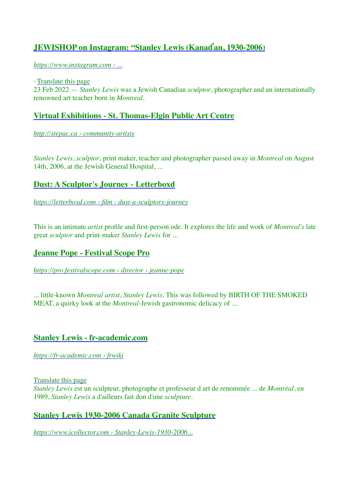## **[JEWISHOP on Instagram: "Stanley Lewis \(Kana](https://www.instagram.com/p/CaVKHfAA9EW/)ďan, 1930-2006)**

*[https://www.instagram.com › ...](https://www.instagram.com/p/CaVKHfAA9EW/)*

· [Translate this page](https://translate.google.com/translate?hl=en&sl=cs&u=https://www.instagram.com/p/CaVKHfAA9EW/&prev=search&pto=aue) 23 Feb 2022 — *Stanley Lewis* was a Jewish Canadian *sculptor*, photographer and an internationally renowned art teacher born in *Montreal*.

### **[Virtual Exhibitions - St. Thomas-Elgin Public Art Centre](http://stepac.ca/community-artists)**

*[http://stepac.ca › community-artists](http://stepac.ca/community-artists)*

*Stanley Lewis*, *sculptor*, print maker, teacher and photographer passed away in *Montreal* on August 14th, 2006, at the Jewish General Hospital, ...

## **[Dust: A Sculptor's Journey - Letterboxd](https://letterboxd.com/film/dust-a-sculptors-journey/)**

*[https://letterboxd.com › film › dust-a-sculptors-journey](https://letterboxd.com/film/dust-a-sculptors-journey/)*

This is an intimate *artist* profile and first-person ode. It explores the life and work of *Montreal's* late great *sculptor* and print-maker *Stanley Lewis* for ...

### **[Jeanne Pope - Festival Scope Pro](https://pro.festivalscope.com/director/jeanne-pope)**

*[https://pro.festivalscope.com › director › jeanne-pope](https://pro.festivalscope.com/director/jeanne-pope)*

... little-known *Montreal artist*, *Stanley Lewis*. This was followed by BIRTH OF THE SMOKED MEAT, a quirky look at the *Montreal*-Jewish gastronomic delicacy of ...

### **[Stanley Lewis - fr-academic.com](https://fr-academic.com/dic.nsf/frwiki/1568700)**

*[https://fr-academic.com › frwiki](https://fr-academic.com/dic.nsf/frwiki/1568700)*

[Translate this page](https://translate.google.com/translate?hl=en&sl=fr&u=https://fr-academic.com/dic.nsf/frwiki/1568700&prev=search&pto=aue)

*Stanley Lewis* est un sculpteur, photographe et professeur d art de renommée ... de *Montréal*, en 1989, *Stanley Lewis* a d'ailleurs fait don d'une *sculpture*.

### **[Stanley Lewis 1930-2006 Canada Granite Sculpture](https://www.icollector.com/Stanley-Lewis-1930-2006-Canada-Granite-Sculpture_i28823162)**

*[https://www.icollector.com › Stanley-Lewis-1930-2006...](https://www.icollector.com/Stanley-Lewis-1930-2006-Canada-Granite-Sculpture_i28823162)*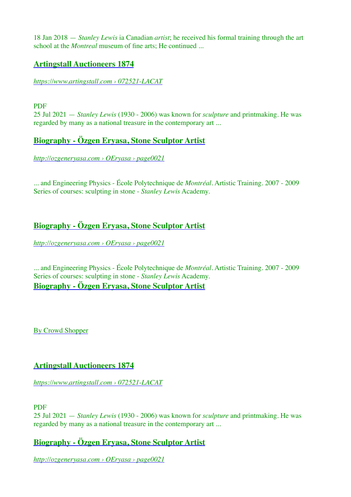18 Jan 2018 — *Stanley Lewis* ia Canadian *artist*; he received his formal training through the art school at the *Montreal* museum of fine arts; He continued ...

### **[Artingstall Auctioneers 1874](https://www.artingstall.com/wp-content/uploads/2021/07/072521-LACAT.pdf)**

#### *[https://www.artingstall.com › 072521-LACAT](https://www.artingstall.com/wp-content/uploads/2021/07/072521-LACAT.pdf)*

#### PDF

25 Jul 2021 — *Stanley Lewis* (1930 - 2006) was known for *sculpture* and printmaking. He was regarded by many as a national treasure in the contemporary art ...

## **[Biography - Özgen Eryasa, Stone Sculptor Artist](http://ozgeneryasa.com/OEryasa/page0021.htm)**

*[http://ozgeneryasa.com › OEryasa › page0021](http://ozgeneryasa.com/OEryasa/page0021.htm)*

... and Engineering Physics - École Polytechnique de *Montréal*. Artistic Training. 2007 - 2009 Series of courses: sculpting in stone - *Stanley Lewis* Academy.

# **[Biography - Özgen Eryasa, Stone Sculptor Artist](http://ozgeneryasa.com/OEryasa/page0021.htm)**

*[http://ozgeneryasa.com › OEryasa › page0021](http://ozgeneryasa.com/OEryasa/page0021.htm)*

... and Engineering Physics - École Polytechnique de *Montréal*. Artistic Training. 2007 - 2009 Series of courses: sculpting in stone - *Stanley Lewis* Academy. **[Biography - Özgen Eryasa, Stone Sculptor Artist](http://ozgeneryasa.com/OEryasa/page0021.htm)**

[By Crowd Shopper](https://crowdshopper.co.uk/)

## **[Artingstall Auctioneers 1874](https://www.artingstall.com/wp-content/uploads/2021/07/072521-LACAT.pdf)**

*[https://www.artingstall.com › 072521-LACAT](https://www.artingstall.com/wp-content/uploads/2021/07/072521-LACAT.pdf)*

#### PDF

25 Jul 2021 — *Stanley Lewis* (1930 - 2006) was known for *sculpture* and printmaking. He was regarded by many as a national treasure in the contemporary art ...

## **[Biography - Özgen Eryasa, Stone Sculptor Artist](http://ozgeneryasa.com/OEryasa/page0021.htm)**

*[http://ozgeneryasa.com › OEryasa › page0021](http://ozgeneryasa.com/OEryasa/page0021.htm)*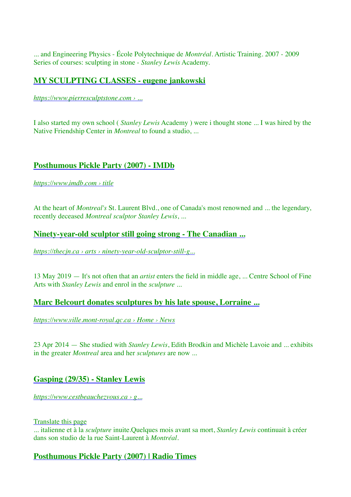... and Engineering Physics - École Polytechnique de *Montréal*. Artistic Training. 2007 - 2009 Series of courses: sculpting in stone - *Stanley Lewis* Academy.

### **[MY SCULPTING CLASSES - eugene jankowski](https://www.pierresculptstone.com/445416629)**

*[https://www.pierresculptstone.com › ...](https://www.pierresculptstone.com/445416629)*

I also started my own school ( *Stanley Lewis* Academy ) were i thought stone ... I was hired by the Native Friendship Center in *Montreal* to found a studio, ...

### **[Posthumous Pickle Party \(2007\) - IMDb](https://www.imdb.com/title/tt1256532/)**

*[https://www.imdb.com › title](https://www.imdb.com/title/tt1256532/)*

At the heart of *Montreal's* St. Laurent Blvd., one of Canada's most renowned and ... the legendary, recently deceased *Montreal sculptor Stanley Lewis*, ...

### **[Ninety-year-old sculptor still going strong - The Canadian ...](https://thecjn.ca/arts/ninety-year-old-sculptor-still-going-strong/)**

*[https://thecjn.ca › arts › ninety-year-old-sculptor-still-g...](https://thecjn.ca/arts/ninety-year-old-sculptor-still-going-strong/)*

13 May 2019 — It's not often that an *artist* enters the field in middle age, ... Centre School of Fine Arts with *Stanley Lewis* and enrol in the *sculpture* ...

### **[Marc Belcourt donates sculptures by his late spouse, Lorraine ...](https://www.ville.mont-royal.qc.ca/en/news/culture/marc-belcourt-donates-sculptures-his-late-spouse-lorraine-schoeb-belcourt-reginald-j-p)**

*[https://www.ville.mont-royal.qc.ca › Home › News](https://www.ville.mont-royal.qc.ca/en/news/culture/marc-belcourt-donates-sculptures-his-late-spouse-lorraine-schoeb-belcourt-reginald-j-p)*

23 Apr 2014 — She studied with *Stanley Lewis*, Edith Brodkin and Michèle Lavoie and ... exhibits in the greater *Montreal* area and her *sculptures* are now ...

### **[Gasping \(29/35\) - Stanley Lewis](https://www.cestbeauchezvous.ca/product/gasping-29-35-stanley-lewis/199)**

*[https://www.cestbeauchezvous.ca › g...](https://www.cestbeauchezvous.ca/product/gasping-29-35-stanley-lewis/199)*

[Translate this page](https://translate.google.com/translate?hl=en&sl=fr&u=https://www.cestbeauchezvous.ca/product/gasping-29-35-stanley-lewis/199&prev=search&pto=aue)

... italienne et à la *sculpture* inuite.Quelques mois avant sa mort, *Stanley Lewis* continuait à créer dans son studio de la rue Saint-Laurent à *Montréal*.

### **[Posthumous Pickle Party \(2007\) | Radio Times](https://www.radiotimes.com/movie-guide/b-hz91sn/posthumous-pickle-party/)**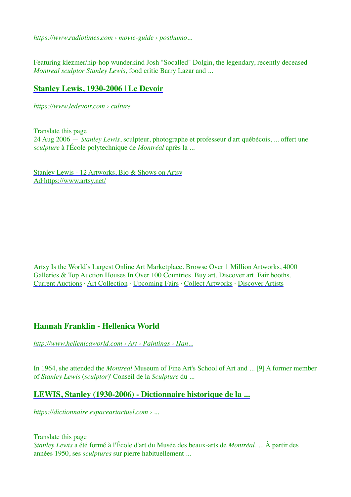*[https://www.radiotimes.com › movie-guide › posthumo...](https://www.radiotimes.com/movie-guide/b-hz91sn/posthumous-pickle-party/)*

Featuring klezmer/hip-hop wunderkind Josh "Socalled" Dolgin, the legendary, recently deceased *Montreal sculptor Stanley Lewis*, food critic Barry Lazar and ...

### **[Stanley Lewis, 1930-2006 | Le Devoir](https://www.ledevoir.com/culture/116558/stanley-lewis-1930-2006)**

*[https://www.ledevoir.com › culture](https://www.ledevoir.com/culture/116558/stanley-lewis-1930-2006)*

[Translate this page](https://translate.google.com/translate?hl=en&sl=fr&u=https://www.ledevoir.com/culture/116558/stanley-lewis-1930-2006&prev=search&pto=aue)

24 Aug 2006 — *Stanley Lewis*, sculpteur, photographe et professeur d'art québécois, ... offert une *sculpture* à l'École polytechnique de *Montréal* après la ...

[Stanley Lewis - 12 Artworks, Bio & Shows on Artsy](https://www.artsy.net/artist/stanley-lewis) [Ad·https://www.artsy.net/](https://www.artsy.net/artist/stanley-lewis)

Artsy Is the World's Largest Online Art Marketplace. Browse Over 1 Million Artworks, 4000 Galleries & Top Auction Houses In Over 100 Countries. Buy art. Discover art. Fair booths. [Current Auctions](https://www.googleadservices.com/pagead/aclk?sa=L&ai=DChcSEwiFlYLg7bP2AhVe6u0KHS6DDy4YABAHGgJkZw&ohost=www.google.com&cid=CAESWOD2gcn83Wb0vTgJqggJC7cxcMDoEcnuK6CMKXuxltJ80Qt259Pp2EpSsGctQsLazcJYAMzgisOs0NX8-6tgFELHFR4UtLJINAdc_tFXlISP4Br2fqfIyg0&sig=AOD64_08q8RkcvsFuvsVnHCSvtzZsNVeOw&q=&ved=2ahUKEwilmfrf7bP2AhXUT8AKHcnUB244KBCmKCgAegQIAhAF&adurl=) · [Art Collection](https://www.googleadservices.com/pagead/aclk?sa=L&ai=DChcSEwiFlYLg7bP2AhVe6u0KHS6DDy4YABAMGgJkZw&ohost=www.google.com&cid=CAESWOD2gcn83Wb0vTgJqggJC7cxcMDoEcnuK6CMKXuxltJ80Qt259Pp2EpSsGctQsLazcJYAMzgisOs0NX8-6tgFELHFR4UtLJINAdc_tFXlISP4Br2fqfIyg0&sig=AOD64_0PA9o1Ap5IIgkESf3KcTnfR7TahQ&q=&ved=2ahUKEwilmfrf7bP2AhXUT8AKHcnUB244KBCmKCgBegQIAhAG&adurl=) · [Upcoming Fairs](https://www.googleadservices.com/pagead/aclk?sa=L&ai=DChcSEwiFlYLg7bP2AhVe6u0KHS6DDy4YABANGgJkZw&ohost=www.google.com&cid=CAESWOD2gcn83Wb0vTgJqggJC7cxcMDoEcnuK6CMKXuxltJ80Qt259Pp2EpSsGctQsLazcJYAMzgisOs0NX8-6tgFELHFR4UtLJINAdc_tFXlISP4Br2fqfIyg0&sig=AOD64_3pYwTlpLa0UmlHZoYQcV57QKchGA&q=&ved=2ahUKEwilmfrf7bP2AhXUT8AKHcnUB244KBCmKCgCegQIAhAH&adurl=) · [Collect Artworks](https://www.googleadservices.com/pagead/aclk?sa=L&ai=DChcSEwiFlYLg7bP2AhVe6u0KHS6DDy4YABAOGgJkZw&ohost=www.google.com&cid=CAESWOD2gcn83Wb0vTgJqggJC7cxcMDoEcnuK6CMKXuxltJ80Qt259Pp2EpSsGctQsLazcJYAMzgisOs0NX8-6tgFELHFR4UtLJINAdc_tFXlISP4Br2fqfIyg0&sig=AOD64_3I36yqw-MVMruEXjlvavTJvAzMCw&q=&ved=2ahUKEwilmfrf7bP2AhXUT8AKHcnUB244KBCmKCgDegQIAhAI&adurl=) · [Discover Artists](https://www.googleadservices.com/pagead/aclk?sa=L&ai=DChcSEwiFlYLg7bP2AhVe6u0KHS6DDy4YABAPGgJkZw&ohost=www.google.com&cid=CAESWOD2gcn83Wb0vTgJqggJC7cxcMDoEcnuK6CMKXuxltJ80Qt259Pp2EpSsGctQsLazcJYAMzgisOs0NX8-6tgFELHFR4UtLJINAdc_tFXlISP4Br2fqfIyg0&sig=AOD64_3ZQVAW7CKZil8WQG9luZW0T-7lOA&q=&ved=2ahUKEwilmfrf7bP2AhXUT8AKHcnUB244KBCmKCgEegQIAhAJ&adurl=)

### **[Hannah Franklin - Hellenica World](http://www.hellenicaworld.com/Art/Paintings/en/HannahFranklin.html)**

*[http://www.hellenicaworld.com › Art › Paintings › Han...](http://www.hellenicaworld.com/Art/Paintings/en/HannahFranklin.html)*

In 1964, she attended the *Montreal* Museum of Fine Art's School of Art and ... [9] A former member of *Stanley Lewis* (*sculptor*)' Conseil de la *Sculpture* du ...

### **[LEWIS, Stanley \(1930-2006\) - Dictionnaire historique de la ...](https://dictionnaire.espaceartactuel.com/artistes/lewis-stanley-1930-2006/)**

*[https://dictionnaire.espaceartactuel.com › ...](https://dictionnaire.espaceartactuel.com/artistes/lewis-stanley-1930-2006/)*

#### [Translate this page](https://translate.google.com/translate?hl=en&sl=fr&u=https://dictionnaire.espaceartactuel.com/artistes/lewis-stanley-1930-2006/&prev=search&pto=aue)

*Stanley Lewis* a été formé à l'École d'art du Musée des beaux-arts de *Montréal*. ... À partir des années 1950, ses *sculptures* sur pierre habituellement ...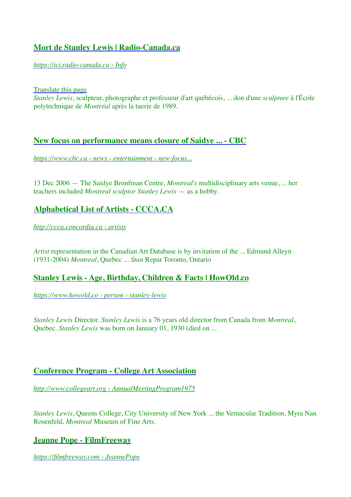### **[Mort de Stanley Lewis | Radio-Canada.ca](https://ici.radio-canada.ca/nouvelle/319068/deces-lewis)**

*[https://ici.radio-canada.ca › Info](https://ici.radio-canada.ca/nouvelle/319068/deces-lewis)*

[Translate this page](https://translate.google.com/translate?hl=en&sl=fr&u=https://ici.radio-canada.ca/nouvelle/319068/deces-lewis&prev=search&pto=aue)

*Stanley Lewis*, sculpteur, photographe et professeur d'art québécois, ... don d'une *sculpture* à l'École polytechnique de *Montréal* après la tuerie de 1989.

### **[New focus on performance means closure of Saidye ... - CBC](https://www.cbc.ca/news/entertainment/new-focus-on-performance-means-closure-of-saidye-bronfman-gallery-art-school-1.571075)**

*[https://www.cbc.ca › news › entertainment › new-focus...](https://www.cbc.ca/news/entertainment/new-focus-on-performance-means-closure-of-saidye-bronfman-gallery-art-school-1.571075)*

13 Dec 2006 — The Saidye Bronfman Centre, *Montreal's* multidisciplinary arts venue, ... her teachers included *Montreal sculptor Stanley Lewis* — as a hobby.

## **[Alphabetical List of Artists - CCCA.CA](http://ccca.concordia.ca/artists/index.html?languagePref=en&)**

*[http://ccca.concordia.ca › artists](http://ccca.concordia.ca/artists/index.html?languagePref=en&)*

*Artist* representation in the Canadian Art Database is by invitation of the ... Edmund Alleyn (1931-2004) *Montreal*, Quebec ... *Stan* Repar Toronto, Ontario

### **[Stanley Lewis - Age, Birthday, Children & Facts | HowOld.co](https://www.howold.co/person/stanley-lewis)**

*[https://www.howold.co › person › stanley-lewis](https://www.howold.co/person/stanley-lewis)*

*Stanley Lewis* Director. *Stanley Lewis* is a 76 years old director from Canada from *Montreal*, Quebec. *Stanley Lewis* was born on January 01, 1930 (died on ...

### **[Conference Program - College Art Association](http://www.collegeart.org/pdf/conference/AnnualMeetingProgram1975.pdf)**

*[http://www.collegeart.org › AnnualMeetingProgram1975](http://www.collegeart.org/pdf/conference/AnnualMeetingProgram1975.pdf)*

*Stanley Lewis*, Queens College, City University of New York ... the Vernacular Tradition, Myra Nan Rosenfeld, *Montreal* Museum of Fine Arts.

### **[Jeanne Pope - FilmFreeway](https://filmfreeway.com/JeannePope)**

*[https://filmfreeway.com › JeannePope](https://filmfreeway.com/JeannePope)*